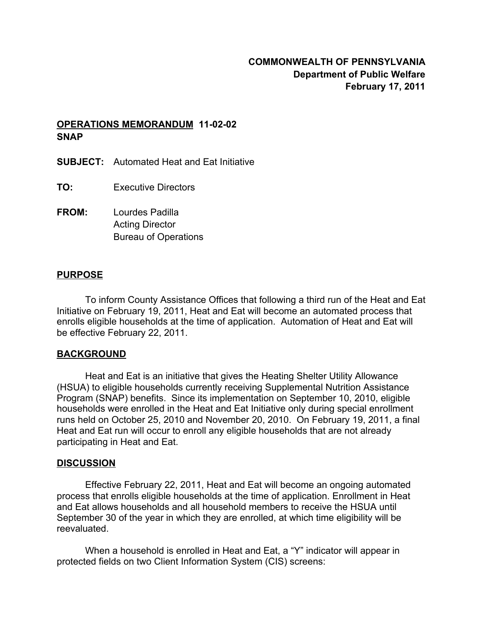# **OPERATIONS MEMORANDUM 11-02-02 SNAP**

- **SUBJECT:** Automated Heat and Eat Initiative
- **TO:** Executive Directors
- **FROM:** Lourdes Padilla Acting Director Bureau of Operations

### **PURPOSE**

To inform County Assistance Offices that following a third run of the Heat and Eat Initiative on February 19, 2011, Heat and Eat will become an automated process that enrolls eligible households at the time of application. Automation of Heat and Eat will be effective February 22, 2011.

#### **BACKGROUND**

Heat and Eat is an initiative that gives the Heating Shelter Utility Allowance (HSUA) to eligible households currently receiving Supplemental Nutrition Assistance Program (SNAP) benefits. Since its implementation on September 10, 2010, eligible households were enrolled in the Heat and Eat Initiative only during special enrollment runs held on October 25, 2010 and November 20, 2010. On February 19, 2011, a final Heat and Eat run will occur to enroll any eligible households that are not already participating in Heat and Eat.

#### **DISCUSSION**

Effective February 22, 2011, Heat and Eat will become an ongoing automated process that enrolls eligible households at the time of application. Enrollment in Heat and Eat allows households and all household members to receive the HSUA until September 30 of the year in which they are enrolled, at which time eligibility will be reevaluated.

When a household is enrolled in Heat and Eat, a "Y" indicator will appear in protected fields on two Client Information System (CIS) screens: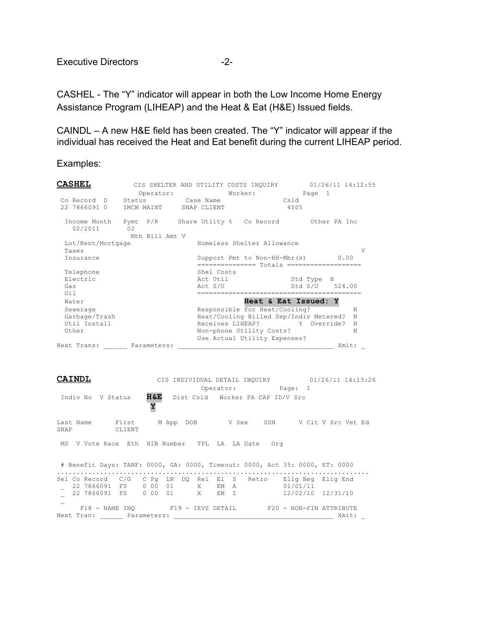CASHEL - The "Y" indicator will appear in both the Low Income Home Energy Assistance Program (LIHEAP) and the Heat & Eat (H&E) Issued fields.

CAINDL – A new H&E field has been created. The "Y" indicator will appear if the individual has received the Heat and Eat benefit during the current LIHEAP period.

Examples:

| <b>CASHEL</b>                | Operator:                                  | Worker:                                                                      | CIS SHELTER AND UTILITY COSTS INQUIRY 01/26/11 14:12:55<br>Page 1 |
|------------------------------|--------------------------------------------|------------------------------------------------------------------------------|-------------------------------------------------------------------|
| 22 7866091 0                 | Co Record D Status Case Name<br>IMCW MAINT | SNAP CLIENT                                                                  | Csld<br>4505                                                      |
| 02/2011                      | 02<br>Mth Bill Amt V                       | Income Month Pymt P/R Share Utlity % Co Record 0ther PA Inc                  |                                                                   |
| Lot/Rent/Mortgage            |                                            | Homeless Shelter Allowance                                                   |                                                                   |
| Taxes                        |                                            |                                                                              | V                                                                 |
| Insurance                    |                                            | Support Pmt to Non-HH-Mbr(s)<br>================ Totals ==================== | 0.00                                                              |
| Telephone<br>Electric<br>Gas |                                            | Shel Costs<br>Act Util<br>Act S/U                                            | Std Type H<br>Std S/U 524.00                                      |
| 0i1                          |                                            |                                                                              |                                                                   |
| Water                        |                                            |                                                                              | Heat & Eat Issued: Y                                              |
| Sewerage<br>Garbage/Trash    |                                            | Responsible for Heat/Cooling?<br>Heat/Cooling Billed Sep/Indiv Metered?      | N<br>N                                                            |
| Util Install                 |                                            | Receives LIHEAP? Y Override?                                                 | N                                                                 |
| Other                        |                                            | Non-phone Utility Costs?                                                     | N                                                                 |
|                              |                                            | Use Actual Utility Expenses?                                                 |                                                                   |
| Next Trans:                  | Parameters:                                |                                                                              | Xmit:                                                             |

**CAINDL** CIS INDIVIDUAL DETAIL INQUIRY 01/26/11 14:13:26 Operator: Page: 1 Indiv No V Status **H&E** Dist Csld Worker PA CAP ID/V Src **Y** Last Name First M App DOB V Sex SSN V Cit V Src Vet Ed<br>SNAP CLIENT SNAP MS V Vote Race Eth HIB Number TPL LA LA Date Org # Benefit Days: TANF: 0000, GA: 0000, Timeout: 0000, Act 35: 0000, ET: 0000 ................................................................................ Sel Co Record C/G C Pg LN DQ Rel El S Retro Elig Beg Elig End \_ 22 7866091 FS 0 00 01 X EM A 01/01/11 \_ 22 7866091 FS 0 00 01 X EM I 12/02/10 12/31/10  $\mathcal{L}(\mathcal{L})$ F18 - NAME INQ F19 - IEVS DETAIL F20 - NON-FIN ATTRIBUTE Next Tran: \_\_\_\_\_\_ Parameters: \_\_\_\_\_\_\_\_\_\_\_\_\_\_\_\_\_\_\_\_\_\_\_\_\_\_\_\_\_\_\_\_\_\_\_\_\_\_\_\_\_ Xmit: \_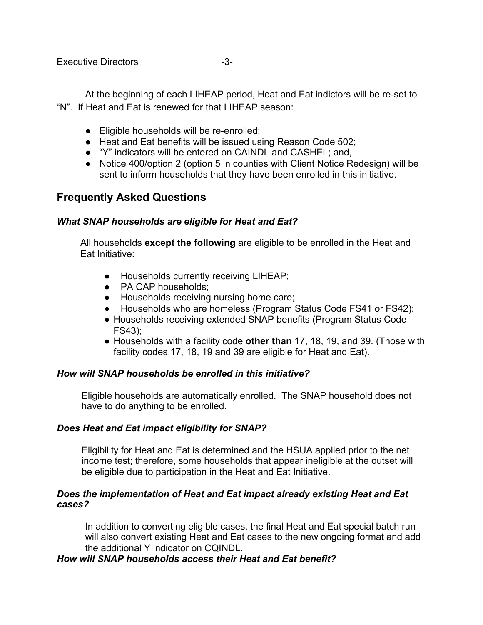At the beginning of each LIHEAP period, Heat and Eat indictors will be re-set to "N". If Heat and Eat is renewed for that LIHEAP season:

- Eligible households will be re-enrolled;
- Heat and Eat benefits will be issued using Reason Code 502;
- "Y" indicators will be entered on CAINDL and CASHEL; and,
- Notice 400/option 2 (option 5 in counties with Client Notice Redesign) will be sent to inform households that they have been enrolled in this initiative.

# **Frequently Asked Questions**

## *What SNAP households are eligible for Heat and Eat?*

All households **except the following** are eligible to be enrolled in the Heat and Eat Initiative:

- Households currently receiving LIHEAP;
- PA CAP households;
- Households receiving nursing home care;
- Households who are homeless (Program Status Code FS41 or FS42);
- Households receiving extended SNAP benefits (Program Status Code FS43);
- Households with a facility code **other than** 17, 18, 19, and 39. (Those with facility codes 17, 18, 19 and 39 are eligible for Heat and Eat).

## *How will SNAP households be enrolled in this initiative?*

Eligible households are automatically enrolled. The SNAP household does not have to do anything to be enrolled.

# *Does Heat and Eat impact eligibility for SNAP?*

Eligibility for Heat and Eat is determined and the HSUA applied prior to the net income test; therefore, some households that appear ineligible at the outset will be eligible due to participation in the Heat and Eat Initiative.

## *Does the implementation of Heat and Eat impact already existing Heat and Eat cases?*

In addition to converting eligible cases, the final Heat and Eat special batch run will also convert existing Heat and Eat cases to the new ongoing format and add the additional Y indicator on CQINDL.

# *How will SNAP households access their Heat and Eat benefit?*